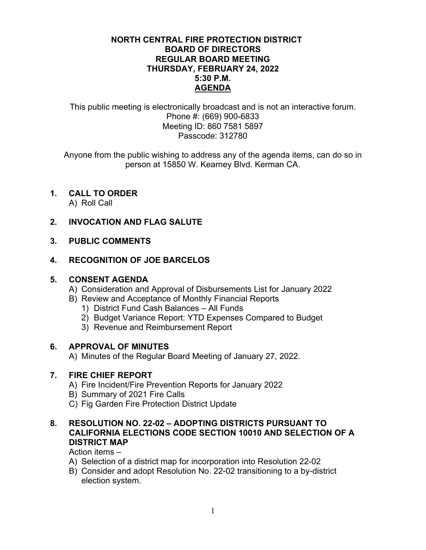#### **NORTH CENTRAL FIRE PROTECTION DISTRICT BOARD OF DIRECTORS REGULAR BOARD MEETING THURSDAY, FEBRUARY 24, 2022 5:30 P.M. AGENDA**

This public meeting is electronically broadcast and is not an interactive forum. Phone #: (669) 900-6833 Meeting ID: 860 7581 5897 Passcode: 312780

Anyone from the public wishing to address any of the agenda items, can do so in person at 15850 W. Kearney Blvd. Kerman CA.

# **1. CALL TO ORDER**

A) Roll Call

## **2. INVOCATION AND FLAG SALUTE**

#### **3. PUBLIC COMMENTS**

## **4. RECOGNITION OF JOE BARCELOS**

#### **5. CONSENT AGENDA**

- A) Consideration and Approval of Disbursements List for January 2022
- B) Review and Acceptance of Monthly Financial Reports
	- 1) District Fund Cash Balances All Funds
	- 2) Budget Variance Report: YTD Expenses Compared to Budget
	- 3) Revenue and Reimbursement Report

#### **6. APPROVAL OF MINUTES**

A) Minutes of the Regular Board Meeting of January 27, 2022.

#### **7. FIRE CHIEF REPORT**

- A) Fire Incident/Fire Prevention Reports for January 2022
- B) Summary of 2021 Fire Calls
- C) Fig Garden Fire Protection District Update

## **8. RESOLUTION NO. 22-02 – ADOPTING DISTRICTS PURSUANT TO CALIFORNIA ELECTIONS CODE SECTION 10010 AND SELECTION OF A DISTRICT MAP**

Action items –

- A) Selection of a district map for incorporation into Resolution 22-02
- B) Consider and adopt Resolution No. 22-02 transitioning to a by-district election system.